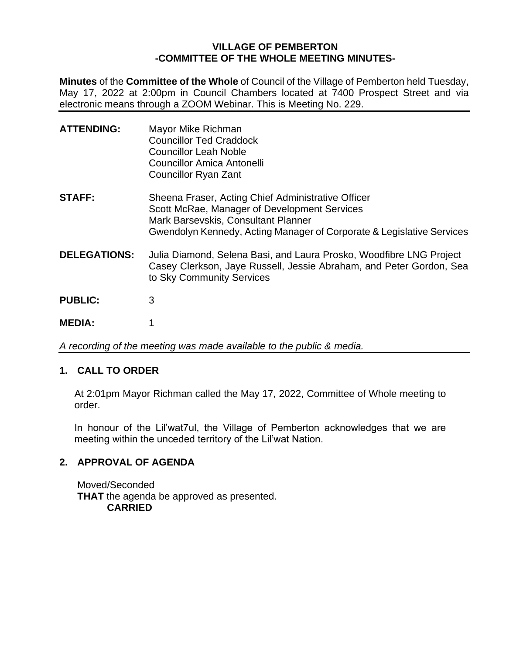## **VILLAGE OF PEMBERTON -COMMITTEE OF THE WHOLE MEETING MINUTES-**

**Minutes** of the **Committee of the Whole** of Council of the Village of Pemberton held Tuesday, May 17, 2022 at 2:00pm in Council Chambers located at 7400 Prospect Street and via electronic means through a ZOOM Webinar. This is Meeting No. 229.

| <b>ATTENDING:</b>   | Mayor Mike Richman<br><b>Councillor Ted Craddock</b><br><b>Councillor Leah Noble</b><br>Councillor Amica Antonelli<br><b>Councillor Ryan Zant</b>                                                                  |
|---------------------|--------------------------------------------------------------------------------------------------------------------------------------------------------------------------------------------------------------------|
| <b>STAFF:</b>       | Sheena Fraser, Acting Chief Administrative Officer<br>Scott McRae, Manager of Development Services<br>Mark Barsevskis, Consultant Planner<br>Gwendolyn Kennedy, Acting Manager of Corporate & Legislative Services |
| <b>DELEGATIONS:</b> | Julia Diamond, Selena Basi, and Laura Prosko, Woodfibre LNG Project<br>Casey Clerkson, Jaye Russell, Jessie Abraham, and Peter Gordon, Sea<br>to Sky Community Services                                            |
| <b>PUBLIC:</b>      | 3                                                                                                                                                                                                                  |
| <b>MEDIA:</b>       | 1                                                                                                                                                                                                                  |

*A recording of the meeting was made available to the public & media.*

# **1. CALL TO ORDER**

At 2:01pm Mayor Richman called the May 17, 2022, Committee of Whole meeting to order.

In honour of the Lil'wat7ul, the Village of Pemberton acknowledges that we are meeting within the unceded territory of the Lil'wat Nation.

### **2. APPROVAL OF AGENDA**

Moved/Seconded **THAT** the agenda be approved as presented. **CARRIED**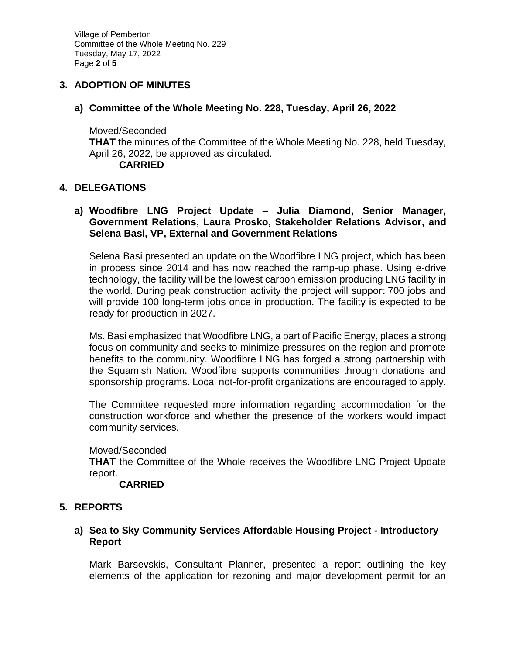Village of Pemberton Committee of the Whole Meeting No. 229 Tuesday, May 17, 2022 Page **2** of **5**

## **3. ADOPTION OF MINUTES**

## **a) Committee of the Whole Meeting No. 228, Tuesday, April 26, 2022**

Moved/Seconded **THAT** the minutes of the Committee of the Whole Meeting No. 228, held Tuesday, April 26, 2022, be approved as circulated. **CARRIED**

### **4. DELEGATIONS**

#### **a) Woodfibre LNG Project Update – Julia Diamond, Senior Manager, Government Relations, Laura Prosko, Stakeholder Relations Advisor, and Selena Basi, VP, External and Government Relations**

Selena Basi presented an update on the Woodfibre LNG project, which has been in process since 2014 and has now reached the ramp-up phase. Using e-drive technology, the facility will be the lowest carbon emission producing LNG facility in the world. During peak construction activity the project will support 700 jobs and will provide 100 long-term jobs once in production. The facility is expected to be ready for production in 2027.

Ms. Basi emphasized that Woodfibre LNG, a part of Pacific Energy, places a strong focus on community and seeks to minimize pressures on the region and promote benefits to the community. Woodfibre LNG has forged a strong partnership with the Squamish Nation. Woodfibre supports communities through donations and sponsorship programs. Local not-for-profit organizations are encouraged to apply.

The Committee requested more information regarding accommodation for the construction workforce and whether the presence of the workers would impact community services.

#### Moved/Seconded

**THAT** the Committee of the Whole receives the Woodfibre LNG Project Update report.

### **CARRIED**

### **5. REPORTS**

### **a) Sea to Sky Community Services Affordable Housing Project - Introductory Report**

Mark Barsevskis, Consultant Planner, presented a report outlining the key elements of the application for rezoning and major development permit for an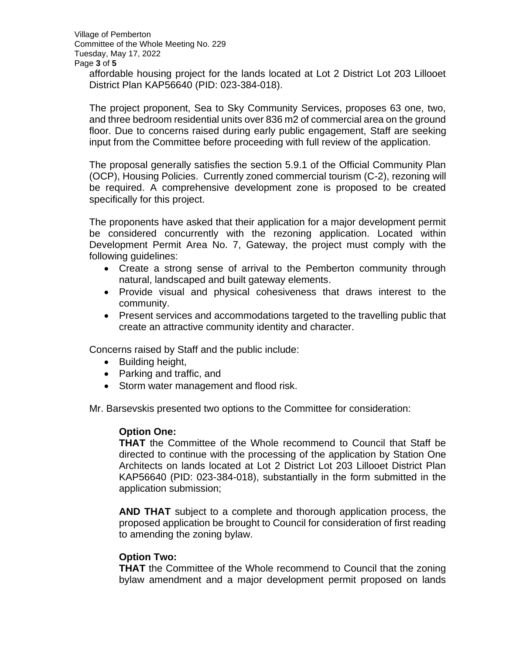affordable housing project for the lands located at Lot 2 District Lot 203 Lillooet District Plan KAP56640 (PID: 023-384-018).

The project proponent, Sea to Sky Community Services, proposes 63 one, two, and three bedroom residential units over 836 m2 of commercial area on the ground floor. Due to concerns raised during early public engagement, Staff are seeking input from the Committee before proceeding with full review of the application.

The proposal generally satisfies the section 5.9.1 of the Official Community Plan (OCP), Housing Policies. Currently zoned commercial tourism (C-2), rezoning will be required. A comprehensive development zone is proposed to be created specifically for this project.

The proponents have asked that their application for a major development permit be considered concurrently with the rezoning application. Located within Development Permit Area No. 7, Gateway, the project must comply with the following guidelines:

- Create a strong sense of arrival to the Pemberton community through natural, landscaped and built gateway elements.
- Provide visual and physical cohesiveness that draws interest to the community.
- Present services and accommodations targeted to the travelling public that create an attractive community identity and character.

Concerns raised by Staff and the public include:

- Building height,
- Parking and traffic, and
- Storm water management and flood risk.

Mr. Barsevskis presented two options to the Committee for consideration:

#### **Option One:**

**THAT** the Committee of the Whole recommend to Council that Staff be directed to continue with the processing of the application by Station One Architects on lands located at Lot 2 District Lot 203 Lillooet District Plan KAP56640 (PID: 023-384-018), substantially in the form submitted in the application submission;

**AND THAT** subject to a complete and thorough application process, the proposed application be brought to Council for consideration of first reading to amending the zoning bylaw.

### **Option Two:**

**THAT** the Committee of the Whole recommend to Council that the zoning bylaw amendment and a major development permit proposed on lands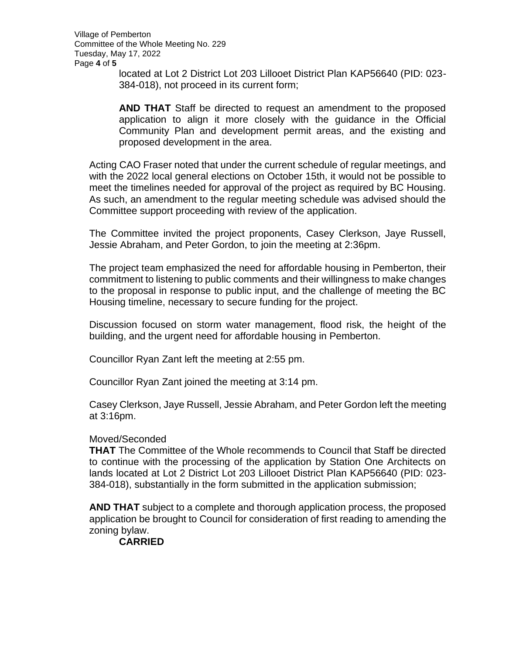Village of Pemberton Committee of the Whole Meeting No. 229 Tuesday, May 17, 2022 Page **4** of **5**

> located at Lot 2 District Lot 203 Lillooet District Plan KAP56640 (PID: 023- 384-018), not proceed in its current form;

> **AND THAT** Staff be directed to request an amendment to the proposed application to align it more closely with the guidance in the Official Community Plan and development permit areas, and the existing and proposed development in the area.

Acting CAO Fraser noted that under the current schedule of regular meetings, and with the 2022 local general elections on October 15th, it would not be possible to meet the timelines needed for approval of the project as required by BC Housing. As such, an amendment to the regular meeting schedule was advised should the Committee support proceeding with review of the application.

The Committee invited the project proponents, Casey Clerkson, Jaye Russell, Jessie Abraham, and Peter Gordon, to join the meeting at 2:36pm.

The project team emphasized the need for affordable housing in Pemberton, their commitment to listening to public comments and their willingness to make changes to the proposal in response to public input, and the challenge of meeting the BC Housing timeline, necessary to secure funding for the project.

Discussion focused on storm water management, flood risk, the height of the building, and the urgent need for affordable housing in Pemberton.

Councillor Ryan Zant left the meeting at 2:55 pm.

Councillor Ryan Zant joined the meeting at 3:14 pm.

Casey Clerkson, Jaye Russell, Jessie Abraham, and Peter Gordon left the meeting at 3:16pm.

#### Moved/Seconded

**THAT** The Committee of the Whole recommends to Council that Staff be directed to continue with the processing of the application by Station One Architects on lands located at Lot 2 District Lot 203 Lillooet District Plan KAP56640 (PID: 023- 384-018), substantially in the form submitted in the application submission;

**AND THAT** subject to a complete and thorough application process, the proposed application be brought to Council for consideration of first reading to amending the zoning bylaw.

#### **CARRIED**